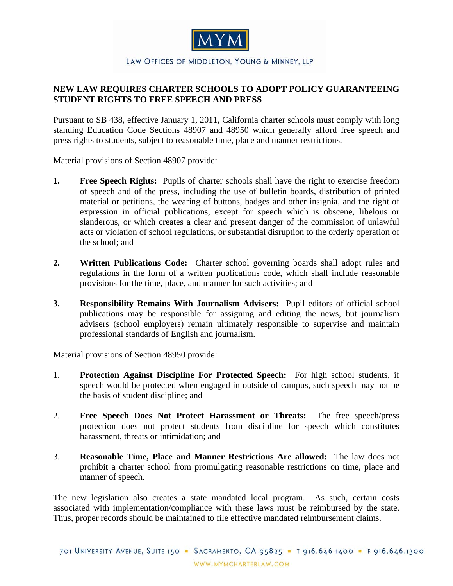

## LAW OFFICES OF MIDDLETON, YOUNG & MINNEY, LLP

## **NEW LAW REQUIRES CHARTER SCHOOLS TO ADOPT POLICY GUARANTEEING STUDENT RIGHTS TO FREE SPEECH AND PRESS**

Pursuant to SB 438, effective January 1, 2011, California charter schools must comply with long standing Education Code Sections 48907 and 48950 which generally afford free speech and press rights to students, subject to reasonable time, place and manner restrictions.

Material provisions of Section 48907 provide:

- **1. Free Speech Rights:** Pupils of charter schools shall have the right to exercise freedom of speech and of the press, including the use of bulletin boards, distribution of printed material or petitions, the wearing of buttons, badges and other insignia, and the right of expression in official publications, except for speech which is obscene, libelous or slanderous, or which creates a clear and present danger of the commission of unlawful acts or violation of school regulations, or substantial disruption to the orderly operation of the school; and
- **2. Written Publications Code:** Charter school governing boards shall adopt rules and regulations in the form of a written publications code, which shall include reasonable provisions for the time, place, and manner for such activities; and
- **3. Responsibility Remains With Journalism Advisers:** Pupil editors of official school publications may be responsible for assigning and editing the news, but journalism advisers (school employers) remain ultimately responsible to supervise and maintain professional standards of English and journalism.

Material provisions of Section 48950 provide:

- 1. **Protection Against Discipline For Protected Speech:** For high school students, if speech would be protected when engaged in outside of campus, such speech may not be the basis of student discipline; and
- 2. **Free Speech Does Not Protect Harassment or Threats:** The free speech/press protection does not protect students from discipline for speech which constitutes harassment, threats or intimidation; and
- 3. **Reasonable Time, Place and Manner Restrictions Are allowed:** The law does not prohibit a charter school from promulgating reasonable restrictions on time, place and manner of speech.

The new legislation also creates a state mandated local program. As such, certain costs associated with implementation/compliance with these laws must be reimbursed by the state. Thus, proper records should be maintained to file effective mandated reimbursement claims.